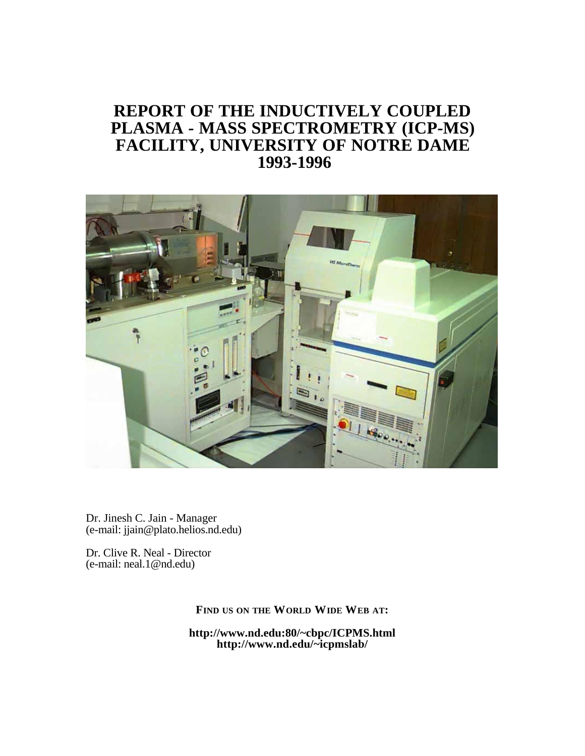# **REPORT OF THE INDUCTIVELY COUPLED PLASMA - MASS SPECTROMETRY (ICP-MS) FACILITY, UNIVERSITY OF NOTRE DAME 1993-1996**



Dr. Jinesh C. Jain - Manager (e-mail: jjain@plato.helios.nd.edu)

Dr. Clive R. Neal - Director (e-mail: neal.1@nd.edu)

**FIND US ON THE WORLD WIDE WEB AT:**

**http://www.nd.edu:80/~cbpc/ICPMS.html http://www.nd.edu/~icpmslab/**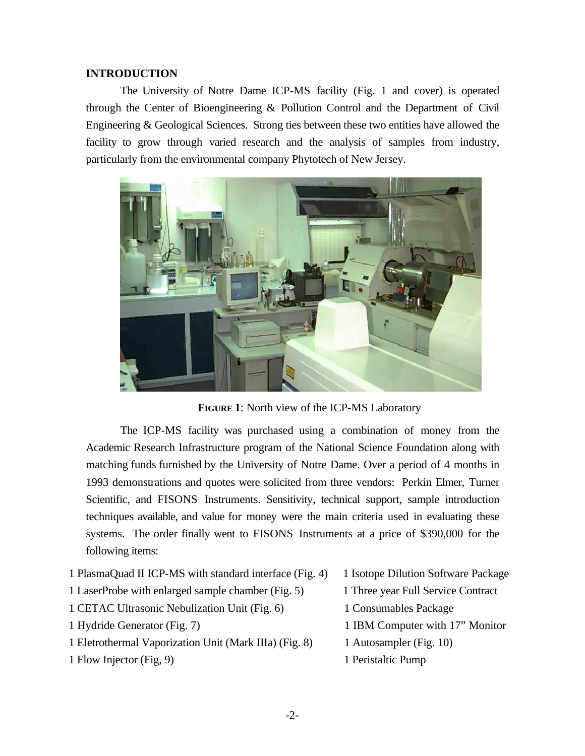### **INTRODUCTION**

The University of Notre Dame ICP-MS facility (Fig. 1 and cover) is operated through the Center of Bioengineering & Pollution Control and the Department of Civil Engineering & Geological Sciences. Strong ties between these two entities have allowed the facility to grow through varied research and the analysis of samples from industry, particularly from the environmental company Phytotech of New Jersey.



**FIGURE 1**: North view of the ICP-MS Laboratory

The ICP-MS facility was purchased using a combination of money from the Academic Research Infrastructure program of the National Science Foundation along with matching funds furnished by the University of Notre Dame. Over a period of 4 months in 1993 demonstrations and quotes were solicited from three vendors: Perkin Elmer, Turner Scientific, and FISONS Instruments. Sensitivity, technical support, sample introduction techniques available, and value for money were the main criteria used in evaluating these systems. The order finally went to FISONS Instruments at a price of \$390,000 for the following items:

- 1 PlasmaQuad II ICP-MS with standard interface (Fig. 4) 1 Isotope Dilution Software Package
- 1 LaserProbe with enlarged sample chamber (Fig. 5) 1 Three year Full Service Contract
- 1 CETAC Ultrasonic Nebulization Unit (Fig. 6) 1 Consumables Package
- 
- 1 Eletrothermal Vaporization Unit (Mark IIIa) (Fig. 8) 1 Autosampler (Fig. 10)
- 1 Flow Injector (Fig, 9) 1 Peristaltic Pump
- 
- 
- 
- 1 Hydride Generator (Fig. 7) 1 IBM Computer with 17" Monitor
	-
	-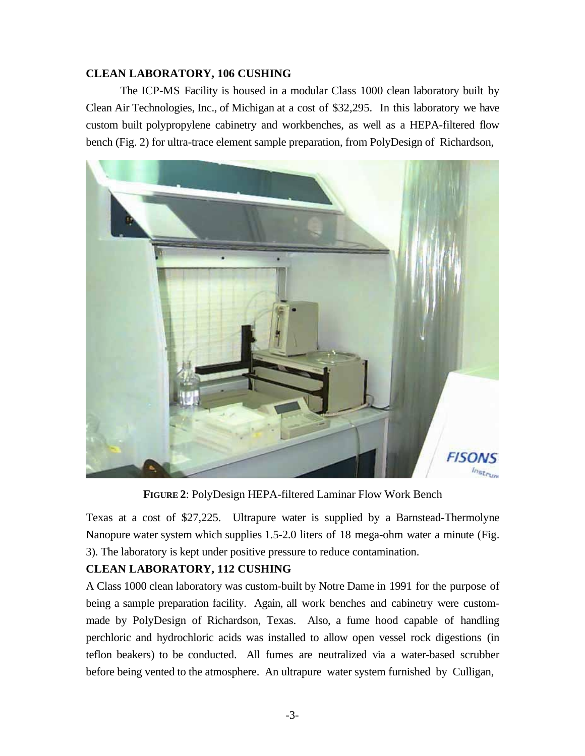## **CLEAN LABORATORY, 106 CUSHING**

The ICP-MS Facility is housed in a modular Class 1000 clean laboratory built by Clean Air Technologies, Inc., of Michigan at a cost of \$32,295. In this laboratory we have custom built polypropylene cabinetry and workbenches, as well as a HEPA-filtered flow bench (Fig. 2) for ultra-trace element sample preparation, from PolyDesign of Richardson,



**FIGURE 2**: PolyDesign HEPA-filtered Laminar Flow Work Bench

Texas at a cost of \$27,225. Ultrapure water is supplied by a Barnstead-Thermolyne Nanopure water system which supplies 1.5-2.0 liters of 18 mega-ohm water a minute (Fig. 3). The laboratory is kept under positive pressure to reduce contamination.

## **CLEAN LABORATORY, 112 CUSHING**

A Class 1000 clean laboratory was custom-built by Notre Dame in 1991 for the purpose of being a sample preparation facility. Again, all work benches and cabinetry were custommade by PolyDesign of Richardson, Texas. Also, a fume hood capable of handling perchloric and hydrochloric acids was installed to allow open vessel rock digestions (in teflon beakers) to be conducted. All fumes are neutralized via a water-based scrubber before being vented to the atmosphere. An ultrapure water system furnished by Culligan,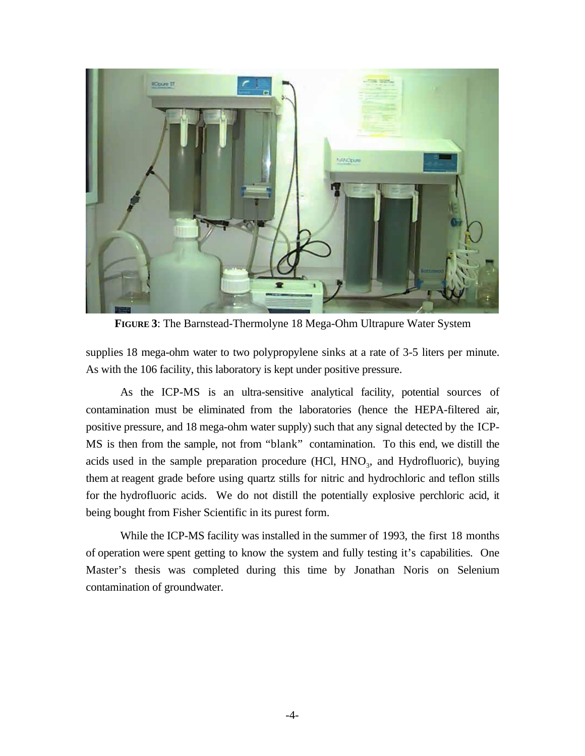

**FIGURE 3**: The Barnstead-Thermolyne 18 Mega-Ohm Ultrapure Water System

supplies 18 mega-ohm water to two polypropylene sinks at a rate of 3-5 liters per minute. As with the 106 facility, this laboratory is kept under positive pressure.

As the ICP-MS is an ultra-sensitive analytical facility, potential sources of contamination must be eliminated from the laboratories (hence the HEPA-filtered air, positive pressure, and 18 mega-ohm water supply) such that any signal detected by the ICP-MS is then from the sample, not from "blank" contamination. To this end, we distill the acids used in the sample preparation procedure  $(HCl, HNO<sub>3</sub>, and Hydrofluoric)$ , buying them at reagent grade before using quartz stills for nitric and hydrochloric and teflon stills for the hydrofluoric acids. We do not distill the potentially explosive perchloric acid, it being bought from Fisher Scientific in its purest form.

While the ICP-MS facility was installed in the summer of 1993, the first 18 months of operation were spent getting to know the system and fully testing it's capabilities. One Master's thesis was completed during this time by Jonathan Noris on Selenium contamination of groundwater.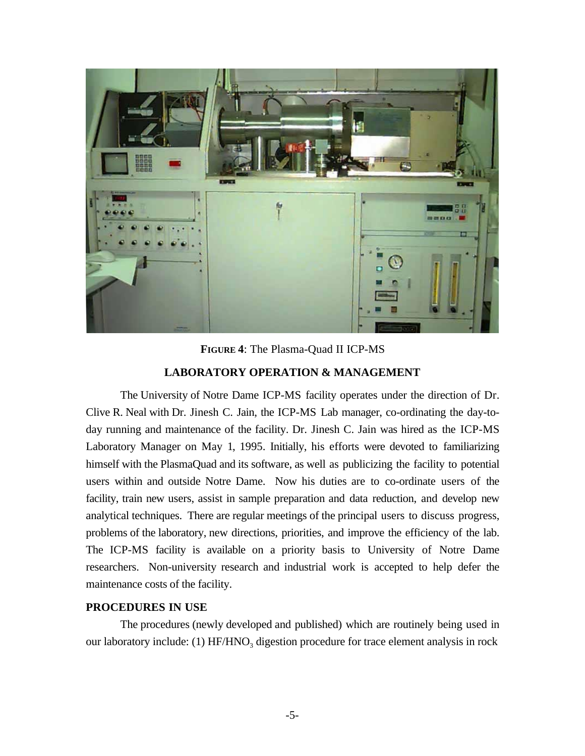

**FIGURE 4**: The Plasma-Quad II ICP-MS

### **LABORATORY OPERATION & MANAGEMENT**

The University of Notre Dame ICP-MS facility operates under the direction of Dr. Clive R. Neal with Dr. Jinesh C. Jain, the ICP-MS Lab manager, co-ordinating the day-today running and maintenance of the facility. Dr. Jinesh C. Jain was hired as the ICP-MS Laboratory Manager on May 1, 1995. Initially, his efforts were devoted to familiarizing himself with the PlasmaQuad and its software, as well as publicizing the facility to potential users within and outside Notre Dame. Now his duties are to co-ordinate users of the facility, train new users, assist in sample preparation and data reduction, and develop new analytical techniques. There are regular meetings of the principal users to discuss progress, problems of the laboratory, new directions, priorities, and improve the efficiency of the lab. The ICP-MS facility is available on a priority basis to University of Notre Dame researchers. Non-university research and industrial work is accepted to help defer the maintenance costs of the facility.

### **PROCEDURES IN USE**

The procedures (newly developed and published) which are routinely being used in our laboratory include: (1)  $HF/HNO<sub>3</sub>$  digestion procedure for trace element analysis in rock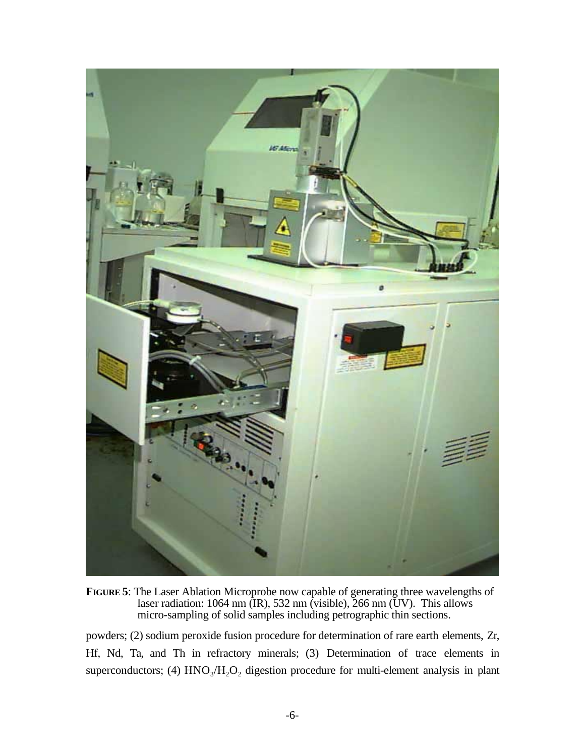

**FIGURE 5**: The Laser Ablation Microprobe now capable of generating three wavelengths of laser radiation: 1064 nm (IR), 532 nm (visible), 266 nm (UV). This allows micro-sampling of solid samples including petrographic thin sections.

powders; (2) sodium peroxide fusion procedure for determination of rare earth elements, Zr, Hf, Nd, Ta, and Th in refractory minerals; (3) Determination of trace elements in superconductors; (4)  $HNO<sub>3</sub>/H<sub>2</sub>O<sub>2</sub>$  digestion procedure for multi-element analysis in plant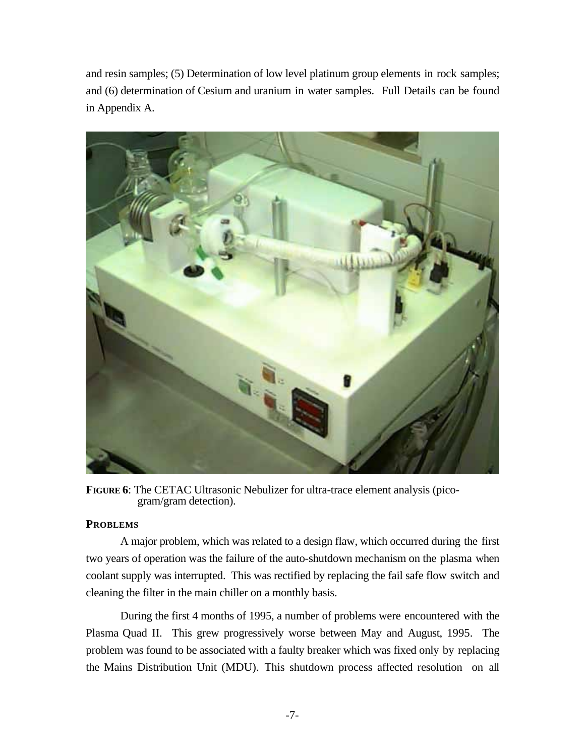and resin samples; (5) Determination of low level platinum group elements in rock samples; and (6) determination of Cesium and uranium in water samples. Full Details can be found in Appendix A.



**FIGURE 6**: The CETAC Ultrasonic Nebulizer for ultra-trace element analysis (picogram/gram detection).

### **PROBLEMS**

A major problem, which was related to a design flaw, which occurred during the first two years of operation was the failure of the auto-shutdown mechanism on the plasma when coolant supply was interrupted. This was rectified by replacing the fail safe flow switch and cleaning the filter in the main chiller on a monthly basis.

During the first 4 months of 1995, a number of problems were encountered with the Plasma Quad II. This grew progressively worse between May and August, 1995. The problem was found to be associated with a faulty breaker which was fixed only by replacing the Mains Distribution Unit (MDU). This shutdown process affected resolution on all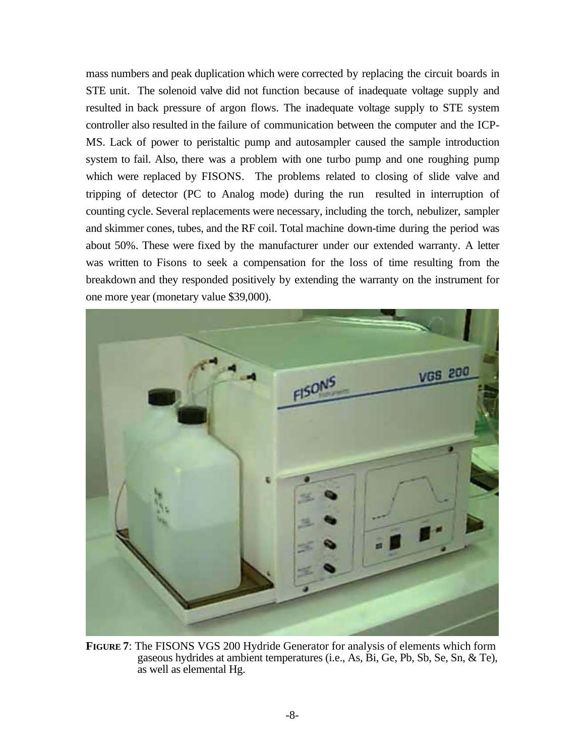mass numbers and peak duplication which were corrected by replacing the circuit boards in STE unit. The solenoid valve did not function because of inadequate voltage supply and resulted in back pressure of argon flows. The inadequate voltage supply to STE system controller also resulted in the failure of communication between the computer and the ICP-MS. Lack of power to peristaltic pump and autosampler caused the sample introduction system to fail. Also, there was a problem with one turbo pump and one roughing pump which were replaced by FISONS. The problems related to closing of slide valve and tripping of detector (PC to Analog mode) during the run resulted in interruption of counting cycle. Several replacements were necessary, including the torch, nebulizer, sampler and skimmer cones, tubes, and the RF coil. Total machine down-time during the period was about 50%. These were fixed by the manufacturer under our extended warranty. A letter was written to Fisons to seek a compensation for the loss of time resulting from the breakdown and they responded positively by extending the warranty on the instrument for one more year (monetary value \$39,000).



**FIGURE 7**: The FISONS VGS 200 Hydride Generator for analysis of elements which form gaseous hydrides at ambient temperatures (i.e., As, Bi, Ge, Pb, Sb, Se, Sn, & Te), as well as elemental Hg.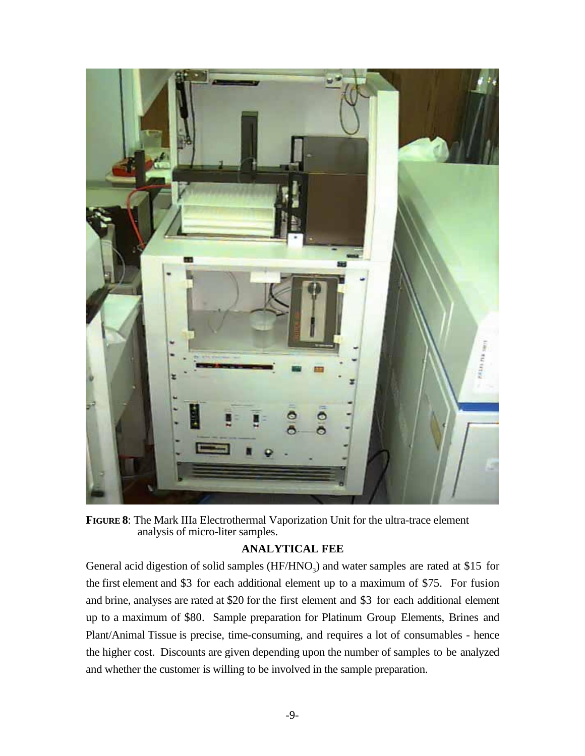

**FIGURE 8**: The Mark IIIa Electrothermal Vaporization Unit for the ultra-trace element analysis of micro-liter samples.

## **ANALYTICAL FEE**

General acid digestion of solid samples  $(HF/HNO<sub>3</sub>)$  and water samples are rated at \$15 for the first element and \$3 for each additional element up to a maximum of \$75. For fusion and brine, analyses are rated at \$20 for the first element and \$3 for each additional element up to a maximum of \$80. Sample preparation for Platinum Group Elements, Brines and Plant/Animal Tissue is precise, time-consuming, and requires a lot of consumables - hence the higher cost. Discounts are given depending upon the number of samples to be analyzed and whether the customer is willing to be involved in the sample preparation.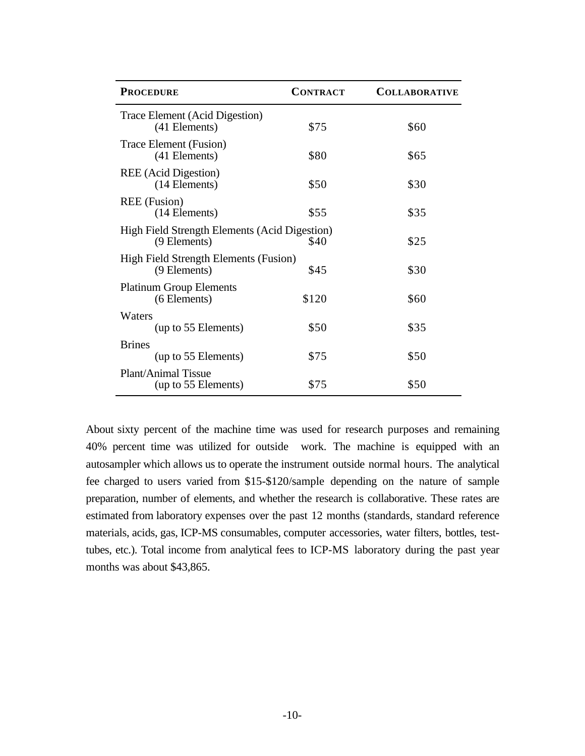| <b>PROCEDURE</b>                                                     | <b>CONTRACT</b> | <b>COLLABORATIVE</b> |
|----------------------------------------------------------------------|-----------------|----------------------|
| Trace Element (Acid Digestion)<br>(41 Elements)                      | \$75            | \$60                 |
| Trace Element (Fusion)<br>(41 Elements)                              | \$80            | \$65                 |
| REE (Acid Digestion)<br>(14 Elements)                                | \$50            | \$30                 |
| <b>REE</b> (Fusion)<br>(14 Elements)                                 | \$55            | \$35                 |
| <b>High Field Strength Elements (Acid Digestion)</b><br>(9 Elements) | \$40            | \$25                 |
| High Field Strength Elements (Fusion)<br>(9 Elements)                | \$45            | \$30                 |
| <b>Platinum Group Elements</b><br>(6 Elements)                       | \$120           | \$60                 |
| Waters<br>(up to 55 Elements)                                        | \$50            | \$35                 |
| <b>Brines</b><br>(up to 55 Elements)                                 | \$75            | \$50                 |
| Plant/Animal Tissue<br>(up to 55 Elements)                           | \$75            | \$50                 |

About sixty percent of the machine time was used for research purposes and remaining 40% percent time was utilized for outside work. The machine is equipped with an autosampler which allows us to operate the instrument outside normal hours. The analytical fee charged to users varied from \$15-\$120/sample depending on the nature of sample preparation, number of elements, and whether the research is collaborative. These rates are estimated from laboratory expenses over the past 12 months (standards, standard reference materials, acids, gas, ICP-MS consumables, computer accessories, water filters, bottles, testtubes, etc.). Total income from analytical fees to ICP-MS laboratory during the past year months was about \$43,865.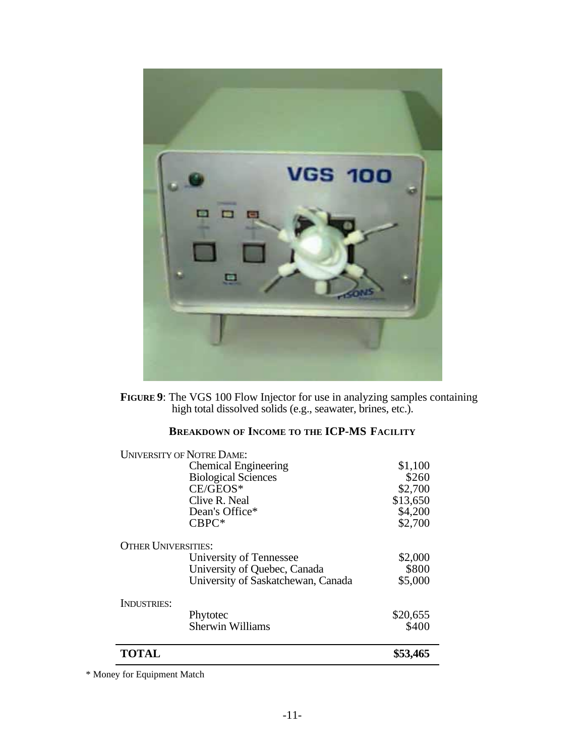

**FIGURE 9**: The VGS 100 Flow Injector for use in analyzing samples containing high total dissolved solids (e.g., seawater, brines, etc.).

# **BREAKDOWN OF INCOME TO THE ICP-MS FACILITY**

| <b>UNIVERSITY OF NOTRE DAME:</b> |                                    |          |
|----------------------------------|------------------------------------|----------|
|                                  | <b>Chemical Engineering</b>        | \$1,100  |
|                                  | <b>Biological Sciences</b>         | \$260    |
|                                  | $CE/GEOS^*$                        | \$2,700  |
|                                  | Clive R. Neal                      | \$13,650 |
|                                  | Dean's Office*                     | \$4,200  |
|                                  | $CBPC*$                            | \$2,700  |
| <b>OTHER UNIVERSITIES:</b>       |                                    |          |
|                                  | University of Tennessee            | \$2,000  |
|                                  | University of Quebec, Canada       | \$800    |
|                                  | University of Saskatchewan, Canada | \$5,000  |
| INDUSTRIES:                      |                                    |          |
|                                  | Phytotec                           | \$20,655 |
|                                  | <b>Sherwin Williams</b>            | \$400    |
| <b>TOTAL</b>                     |                                    | \$53,465 |
|                                  |                                    |          |

\* Money for Equipment Match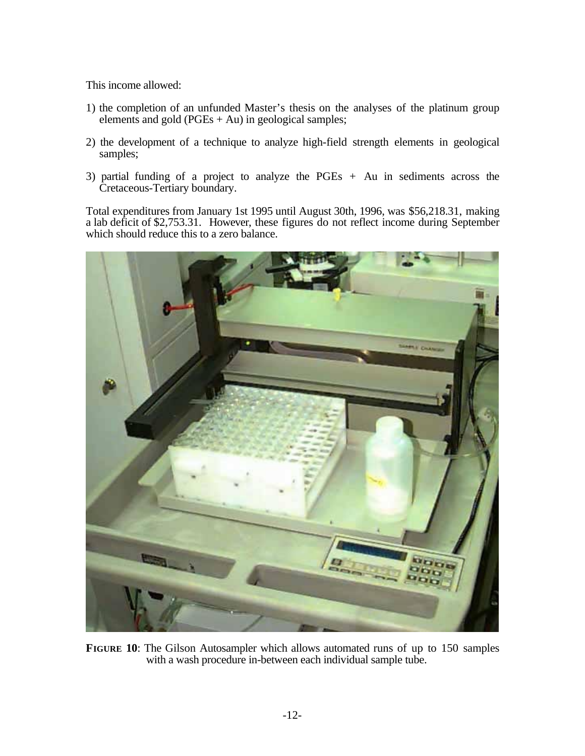This income allowed:

- 1) the completion of an unfunded Master's thesis on the analyses of the platinum group elements and gold ( $PGEs + Au$ ) in geological samples;
- 2) the development of a technique to analyze high-field strength elements in geological samples;
- 3) partial funding of a project to analyze the PGEs + Au in sediments across the Cretaceous-Tertiary boundary.

Total expenditures from January 1st 1995 until August 30th, 1996, was \$56,218.31, making a lab deficit of \$2,753.31. However, these figures do not reflect income during September which should reduce this to a zero balance.



**FIGURE 10**: The Gilson Autosampler which allows automated runs of up to 150 samples with a wash procedure in-between each individual sample tube.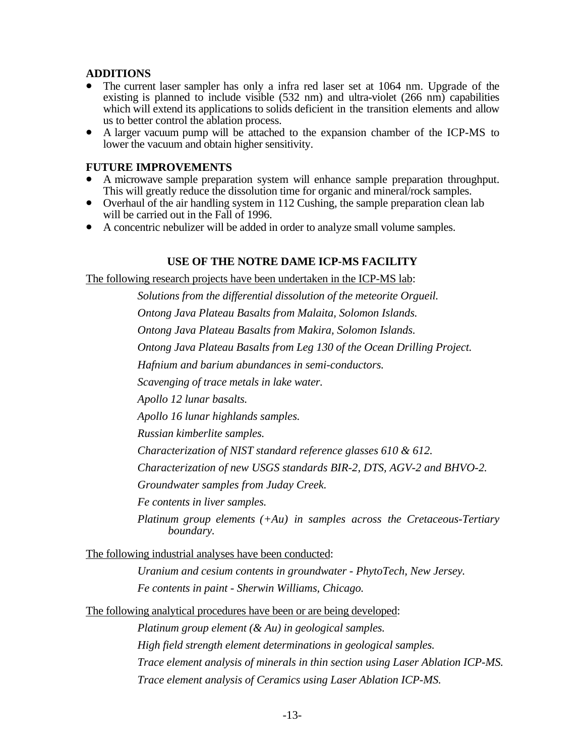### **ADDITIONS**

- The current laser sampler has only a infra red laser set at 1064 nm. Upgrade of the existing is planned to include visible  $(532 \text{ nm})$  and ultra-violet  $(266 \text{ nm})$  capabilities which will extend its applications to solids deficient in the transition elements and allow us to better control the ablation process.
- A larger vacuum pump will be attached to the expansion chamber of the ICP-MS to lower the vacuum and obtain higher sensitivity.

### **FUTURE IMPROVEMENTS**

- A microwave sample preparation system will enhance sample preparation throughput. This will greatly reduce the dissolution time for organic and mineral/rock samples.
- Overhaul of the air handling system in 112 Cushing, the sample preparation clean lab will be carried out in the Fall of 1996.
- A concentric nebulizer will be added in order to analyze small volume samples.

### **USE OF THE NOTRE DAME ICP-MS FACILITY**

The following research projects have been undertaken in the ICP-MS lab:

*Solutions from the differential dissolution of the meteorite Orgueil. Ontong Java Plateau Basalts from Malaita, Solomon Islands. Ontong Java Plateau Basalts from Makira, Solomon Islands.*

*Ontong Java Plateau Basalts from Leg 130 of the Ocean Drilling Project.*

*Hafnium and barium abundances in semi-conductors.*

*Scavenging of trace metals in lake water.*

*Apollo 12 lunar basalts.*

*Apollo 16 lunar highlands samples.*

*Russian kimberlite samples.*

*Characterization of NIST standard reference glasses 610 & 612.*

*Characterization of new USGS standards BIR-2, DTS, AGV-2 and BHVO-2.*

*Groundwater samples from Juday Creek.*

*Fe contents in liver samples.*

*Platinum group elements (+Au) in samples across the Cretaceous-Tertiary boundary.*

The following industrial analyses have been conducted:

*Uranium and cesium contents in groundwater - PhytoTech, New Jersey. Fe contents in paint - Sherwin Williams, Chicago.*

The following analytical procedures have been or are being developed:

*Platinum group element (& Au) in geological samples. High field strength element determinations in geological samples. Trace element analysis of minerals in thin section using Laser Ablation ICP-MS. Trace element analysis of Ceramics using Laser Ablation ICP-MS.*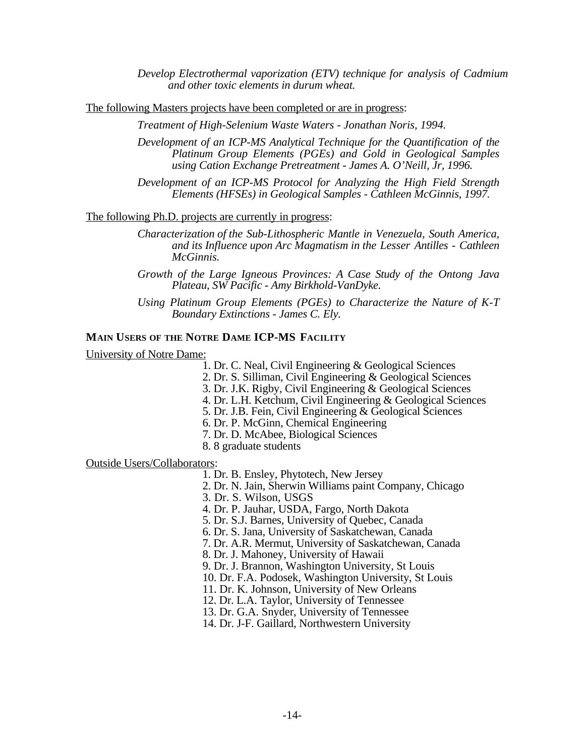*Develop Electrothermal vaporization (ETV) technique for analysis of Cadmium and other toxic elements in durum wheat.*

The following Masters projects have been completed or are in progress:

*Treatment of High-Selenium Waste Waters - Jonathan Noris, 1994.*

- *Development of an ICP-MS Analytical Technique for the Quantification of the Platinum Group Elements (PGEs) and Gold in Geological Samples using Cation Exchange Pretreatment - James A. O'Neill, Jr, 1996.*
- *Development of an ICP-MS Protocol for Analyzing the High Field Strength Elements (HFSEs) in Geological Samples - Cathleen McGinnis, 1997.*

The following Ph.D. projects are currently in progress:

- *Characterization of the Sub-Lithospheric Mantle in Venezuela, South America, and its Influence upon Arc Magmatism in the Lesser Antilles - Cathleen McGinnis.*
- *Growth of the Large Igneous Provinces: A Case Study of the Ontong Java Plateau, SW Pacific - Amy Birkhold-VanDyke.*
- *Using Platinum Group Elements (PGEs) to Characterize the Nature of K-T Boundary Extinctions - James C. Ely.*

### **MAIN USERS OF THE NOTRE DAME ICP-MS FACILITY**

University of Notre Dame:

- 1. Dr. C. Neal, Civil Engineering & Geological Sciences
- 2. Dr. S. Silliman, Civil Engineering & Geological Sciences
- 3. Dr. J.K. Rigby, Civil Engineering & Geological Sciences
- 4. Dr. L.H. Ketchum, Civil Engineering & Geological Sciences
- 5. Dr. J.B. Fein, Civil Engineering & Geological Sciences
- 6. Dr. P. McGinn, Chemical Engineering
- 7. Dr. D. McAbee, Biological Sciences
- 8. 8 graduate students

Outside Users/Collaborators:

1. Dr. B. Ensley, Phytotech, New Jersey

- 2. Dr. N. Jain, Sherwin Williams paint Company, Chicago
- 3. Dr. S. Wilson, USGS
- 4. Dr. P. Jauhar, USDA, Fargo, North Dakota
- 5. Dr. S.J. Barnes, University of Quebec, Canada
- 6. Dr. S. Jana, University of Saskatchewan, Canada
- 7. Dr. A.R. Mermut, University of Saskatchewan, Canada

8. Dr. J. Mahoney, University of Hawaii

- 9. Dr. J. Brannon, Washington University, St Louis
- 10. Dr. F.A. Podosek, Washington University, St Louis
- 11. Dr. K. Johnson, University of New Orleans
- 12. Dr. L.A. Taylor, University of Tennessee
- 13. Dr. G.A. Snyder, University of Tennessee
- 14. Dr. J-F. Gaillard, Northwestern University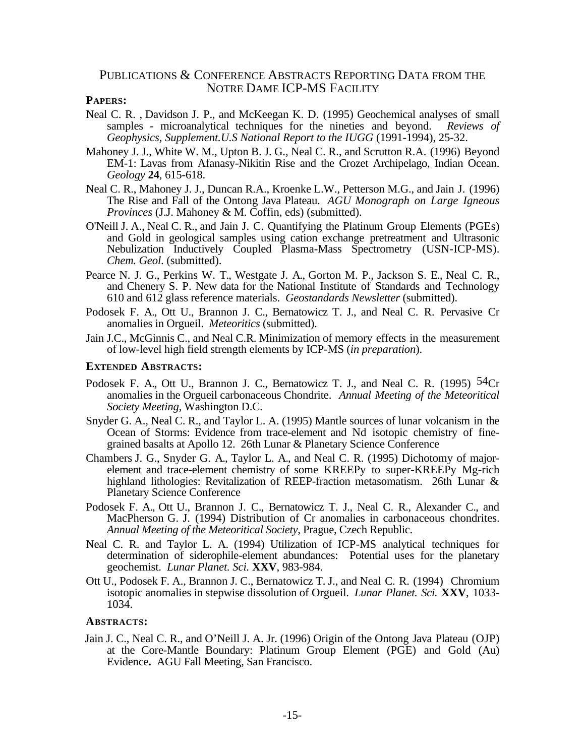### PUBLICATIONS & CONFERENCE ABSTRACTS REPORTING DATA FROM THE NOTRE DAME ICP-MS FACILITY

#### **PAPERS:**

- Neal C. R. , Davidson J. P., and McKeegan K. D. (1995) Geochemical analyses of small samples - microanalytical techniques for the nineties and beyond. *Reviews of Geophysics, Supplement.U.S National Report to the IUGG* (1991-1994), 25-32.
- Mahoney J. J., White W. M., Upton B. J. G., Neal C. R., and Scrutton R.A. (1996) Beyond EM-1: Lavas from Afanasy-Nikitin Rise and the Crozet Archipelago, Indian Ocean. *Geology* **24**, 615-618.
- Neal C. R., Mahoney J. J., Duncan R.A., Kroenke L.W., Petterson M.G., and Jain J. (1996) The Rise and Fall of the Ontong Java Plateau. *AGU Monograph on Large Igneous Provinces* (J.J. Mahoney & M. Coffin, eds) (submitted).
- O'Neill J. A., Neal C. R., and Jain J. C. Quantifying the Platinum Group Elements (PGEs) and Gold in geological samples using cation exchange pretreatment and Ultrasonic Nebulization Inductively Coupled Plasma-Mass Spectrometry (USN-ICP-MS). *Chem. Geol*. (submitted).
- Pearce N. J. G., Perkins W. T., Westgate J. A., Gorton M. P., Jackson S. E., Neal C. R., and Chenery S. P. New data for the National Institute of Standards and Technology 610 and 612 glass reference materials. *Geostandards Newsletter* (submitted).
- Podosek F. A., Ott U., Brannon J. C., Bernatowicz T. J., and Neal C. R. Pervasive Cr anomalies in Orgueil. *Meteoritics* (submitted).
- Jain J.C., McGinnis C., and Neal C.R. Minimization of memory effects in the measurement of low-level high field strength elements by ICP-MS (*in preparation*).

#### **EXTENDED ABSTRACTS:**

- Podosek F. A., Ott U., Brannon J. C., Bernatowicz T. J., and Neal C. R. (1995) <sup>54</sup>Cr anomalies in the Orgueil carbonaceous Chondrite. *Annual Meeting of the Meteoritical Society Meeting*, Washington D.C.
- Snyder G. A., Neal C. R., and Taylor L. A. (1995) Mantle sources of lunar volcanism in the Ocean of Storms: Evidence from trace-element and Nd isotopic chemistry of finegrained basalts at Apollo 12. 26th Lunar & Planetary Science Conference
- Chambers J. G., Snyder G. A., Taylor L. A., and Neal C. R. (1995) Dichotomy of majorelement and trace-element chemistry of some KREEPy to super-KREEPy Mg-rich highland lithologies: Revitalization of REEP-fraction metasomatism. 26th Lunar & Planetary Science Conference
- Podosek F. A., Ott U., Brannon J. C., Bernatowicz T. J., Neal C. R., Alexander C., and MacPherson G. J. (1994) Distribution of Cr anomalies in carbonaceous chondrites. *Annual Meeting of the Meteoritical Society*, Prague, Czech Republic.
- Neal C. R. and Taylor L. A. (1994) Utilization of ICP-MS analytical techniques for determination of siderophile-element abundances: Potential uses for the planetary geochemist. *Lunar Planet. Sci.* **XXV**, 983-984.
- Ott U., Podosek F. A., Brannon J. C., Bernatowicz T. J., and Neal C. R. (1994) Chromium isotopic anomalies in stepwise dissolution of Orgueil. *Lunar Planet. Sci.* **XXV**, 1033- 1034.

### **ABSTRACTS:**

Jain J. C., Neal C. R., and O'Neill J. A. Jr. (1996) Origin of the Ontong Java Plateau (OJP) at the Core-Mantle Boundary: Platinum Group Element (PGE) and Gold (Au) Evidence**.** AGU Fall Meeting, San Francisco.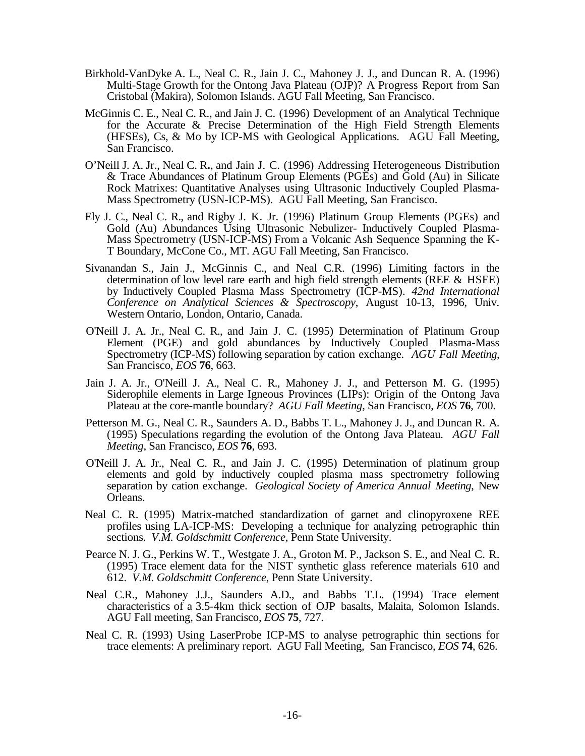- Birkhold-VanDyke A. L., Neal C. R., Jain J. C., Mahoney J. J., and Duncan R. A. (1996) Multi-Stage Growth for the Ontong Java Plateau (OJP)? A Progress Report from San Cristobal (Makira), Solomon Islands. AGU Fall Meeting, San Francisco.
- McGinnis C. E., Neal C. R., and Jain J. C. (1996) Development of an Analytical Technique for the Accurate & Precise Determination of the High Field Strength Elements (HFSEs), Cs, & Mo by ICP-MS with Geological Applications. AGU Fall Meeting, San Francisco.
- O'Neill J. A. Jr., Neal C. R**.**, and Jain J. C. (1996) Addressing Heterogeneous Distribution & Trace Abundances of Platinum Group Elements (PGEs) and Gold (Au) in Silicate Rock Matrixes: Quantitative Analyses using Ultrasonic Inductively Coupled Plasma-Mass Spectrometry (USN-ICP-MS). AGU Fall Meeting, San Francisco.
- Ely J. C., Neal C. R., and Rigby J. K. Jr. (1996) Platinum Group Elements (PGEs) and Gold (Au) Abundances Using Ultrasonic Nebulizer- Inductively Coupled Plasma-Mass Spectrometry (USN-ICP-MS) From a Volcanic Ash Sequence Spanning the K-T Boundary, McCone Co., MT. AGU Fall Meeting, San Francisco.
- Sivanandan S., Jain J., McGinnis C., and Neal C.R. (1996) Limiting factors in the determination of low level rare earth and high field strength elements (REE & HSFE) by Inductively Coupled Plasma Mass Spectrometry (ICP-MS). *42nd International Conference on Analytical Sciences & Spectroscopy*, August 10-13, 1996, Univ. Western Ontario, London, Ontario, Canada.
- O'Neill J. A. Jr., Neal C. R., and Jain J. C. (1995) Determination of Platinum Group Element (PGE) and gold abundances by Inductively Coupled Plasma-Mass Spectrometry (ICP-MS) following separation by cation exchange. *AGU Fall Meeting*, San Francisco, *EOS* **76**, 663.
- Jain J. A. Jr., O'Neill J. A., Neal C. R., Mahoney J. J., and Petterson M. G. (1995) Siderophile elements in Large Igneous Provinces (LIPs): Origin of the Ontong Java Plateau at the core-mantle boundary? *AGU Fall Meeting*, San Francisco, *EOS* **76**, 700.
- Petterson M. G., Neal C. R., Saunders A. D., Babbs T. L., Mahoney J. J., and Duncan R. A. (1995) Speculations regarding the evolution of the Ontong Java Plateau. *AGU Fall Meeting*, San Francisco, *EOS* **76**, 693.
- O'Neill J. A. Jr., Neal C. R., and Jain J. C. (1995) Determination of platinum group elements and gold by inductively coupled plasma mass spectrometry following separation by cation exchange. *Geological Society of America Annual Meeting*, New Orleans.
- Neal C. R. (1995) Matrix-matched standardization of garnet and clinopyroxene REE profiles using LA-ICP-MS: Developing a technique for analyzing petrographic thin sections. *V.M. Goldschmitt Conference*, Penn State University.
- Pearce N. J. G., Perkins W. T., Westgate J. A., Groton M. P., Jackson S. E., and Neal C. R. (1995) Trace element data for the NIST synthetic glass reference materials 610 and 612. *V.M. Goldschmitt Conference*, Penn State University.
- Neal C.R., Mahoney J.J., Saunders A.D., and Babbs T.L. (1994) Trace element characteristics of a 3.5-4km thick section of OJP basalts, Malaita, Solomon Islands. AGU Fall meeting, San Francisco, *EOS* **75**, 727.
- Neal C. R. (1993) Using LaserProbe ICP-MS to analyse petrographic thin sections for trace elements: A preliminary report. AGU Fall Meeting, San Francisco, *EOS* **74**, 626.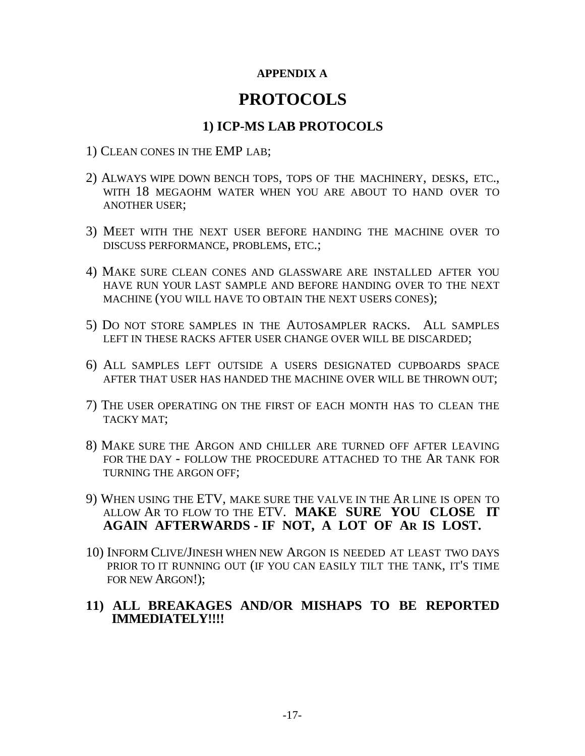# **APPENDIX A**

# **PROTOCOLS**

# **1) ICP-MS LAB PROTOCOLS**

- 1) CLEAN CONES IN THE EMP LAB;
- 2) ALWAYS WIPE DOWN BENCH TOPS, TOPS OF THE MACHINERY, DESKS, ETC., WITH 18 MEGAOHM WATER WHEN YOU ARE ABOUT TO HAND OVER TO ANOTHER USER;
- 3) MEET WITH THE NEXT USER BEFORE HANDING THE MACHINE OVER TO DISCUSS PERFORMANCE, PROBLEMS, ETC.;
- 4) MAKE SURE CLEAN CONES AND GLASSWARE ARE INSTALLED AFTER YOU HAVE RUN YOUR LAST SAMPLE AND BEFORE HANDING OVER TO THE NEXT MACHINE (YOU WILL HAVE TO OBTAIN THE NEXT USERS CONES);
- 5) DO NOT STORE SAMPLES IN THE AUTOSAMPLER RACKS. ALL SAMPLES LEFT IN THESE RACKS AFTER USER CHANGE OVER WILL BE DISCARDED;
- 6) ALL SAMPLES LEFT OUTSIDE A USERS DESIGNATED CUPBOARDS SPACE AFTER THAT USER HAS HANDED THE MACHINE OVER WILL BE THROWN OUT;
- 7) THE USER OPERATING ON THE FIRST OF EACH MONTH HAS TO CLEAN THE TACKY MAT;
- 8) MAKE SURE THE ARGON AND CHILLER ARE TURNED OFF AFTER LEAVING FOR THE DAY - FOLLOW THE PROCEDURE ATTACHED TO THE AR TANK FOR TURNING THE ARGON OFF;
- 9) WHEN USING THE ETV, MAKE SURE THE VALVE IN THE AR LINE IS OPEN TO ALLOW AR TO FLOW TO THE ETV. **MAKE SURE YOU CLOSE IT AGAIN AFTERWARDS - IF NOT, A LOT OF AR IS LOST.**
- 10) INFORM CLIVE/JINESH WHEN NEW ARGON IS NEEDED AT LEAST TWO DAYS PRIOR TO IT RUNNING OUT (IF YOU CAN EASILY TILT THE TANK, IT'S TIME FOR NEW ARGON!);
- **11) ALL BREAKAGES AND/OR MISHAPS TO BE REPORTED IMMEDIATELY!!!!**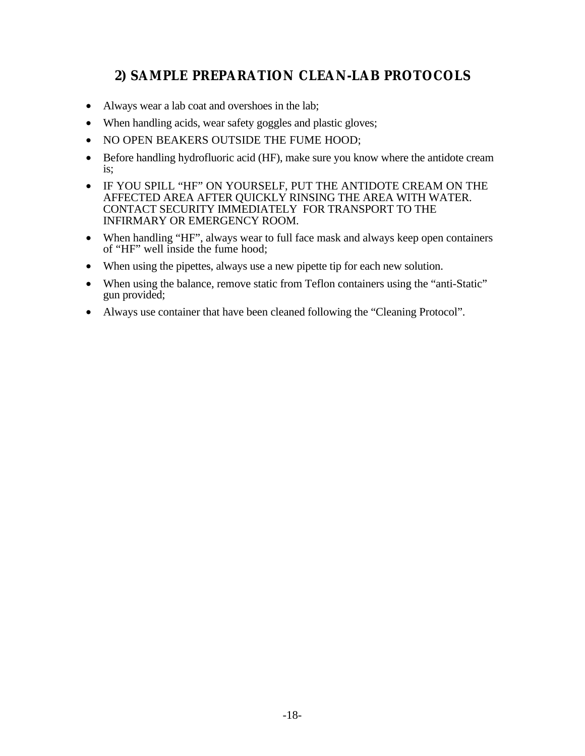# **2) SAMPLE PREPARATION CLEAN-LAB PROTOCOLS**

- Always wear a lab coat and overshoes in the lab;
- When handling acids, wear safety goggles and plastic gloves;
- NO OPEN BEAKERS OUTSIDE THE FUME HOOD;
- Before handling hydrofluoric acid (HF), make sure you know where the antidote cream is;
- IF YOU SPILL "HF" ON YOURSELF, PUT THE ANTIDOTE CREAM ON THE AFFECTED AREA AFTER QUICKLY RINSING THE AREA WITH WATER. CONTACT SECURITY IMMEDIATELY FOR TRANSPORT TO THE INFIRMARY OR EMERGENCY ROOM.
- When handling "HF", always wear to full face mask and always keep open containers of "HF" well inside the fume hood;
- When using the pipettes, always use a new pipette tip for each new solution.
- When using the balance, remove static from Teflon containers using the "anti-Static" gun provided;
- Always use container that have been cleaned following the "Cleaning Protocol".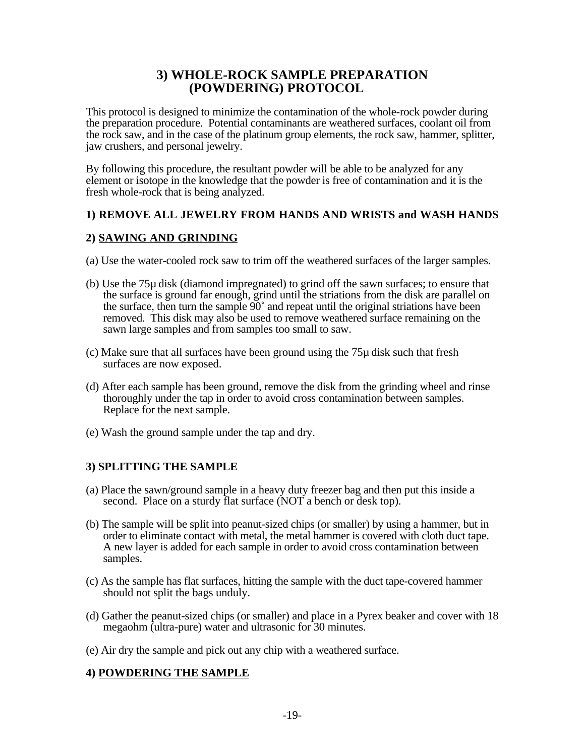# **3) WHOLE-ROCK SAMPLE PREPARATION (POWDERING) PROTOCOL**

This protocol is designed to minimize the contamination of the whole-rock powder during the preparation procedure. Potential contaminants are weathered surfaces, coolant oil from the rock saw, and in the case of the platinum group elements, the rock saw, hammer, splitter, jaw crushers, and personal jewelry.

By following this procedure, the resultant powder will be able to be analyzed for any element or isotope in the knowledge that the powder is free of contamination and it is the fresh whole-rock that is being analyzed.

# **1) REMOVE ALL JEWELRY FROM HANDS AND WRISTS and WASH HANDS**

## **2) SAWING AND GRINDING**

- (a) Use the water-cooled rock saw to trim off the weathered surfaces of the larger samples.
- (b) Use the 75µ disk (diamond impregnated) to grind off the sawn surfaces; to ensure that the surface is ground far enough, grind until the striations from the disk are parallel on the surface, then turn the sample  $90^\circ$  and repeat until the original striations have been removed. This disk may also be used to remove weathered surface remaining on the sawn large samples and from samples too small to saw.
- (c) Make sure that all surfaces have been ground using the 75µ disk such that fresh surfaces are now exposed.
- (d) After each sample has been ground, remove the disk from the grinding wheel and rinse thoroughly under the tap in order to avoid cross contamination between samples. Replace for the next sample.
- (e) Wash the ground sample under the tap and dry.

# **3) SPLITTING THE SAMPLE**

- (a) Place the sawn/ground sample in a heavy duty freezer bag and then put this inside a second. Place on a sturdy flat surface (NOT a bench or desk top).
- (b) The sample will be split into peanut-sized chips (or smaller) by using a hammer, but in order to eliminate contact with metal, the metal hammer is covered with cloth duct tape. A new layer is added for each sample in order to avoid cross contamination between samples.
- (c) As the sample has flat surfaces, hitting the sample with the duct tape-covered hammer should not split the bags unduly.
- (d) Gather the peanut-sized chips (or smaller) and place in a Pyrex beaker and cover with 18 megaohm (ultra-pure) water and ultrasonic for 30 minutes.
- (e) Air dry the sample and pick out any chip with a weathered surface.

# **4) POWDERING THE SAMPLE**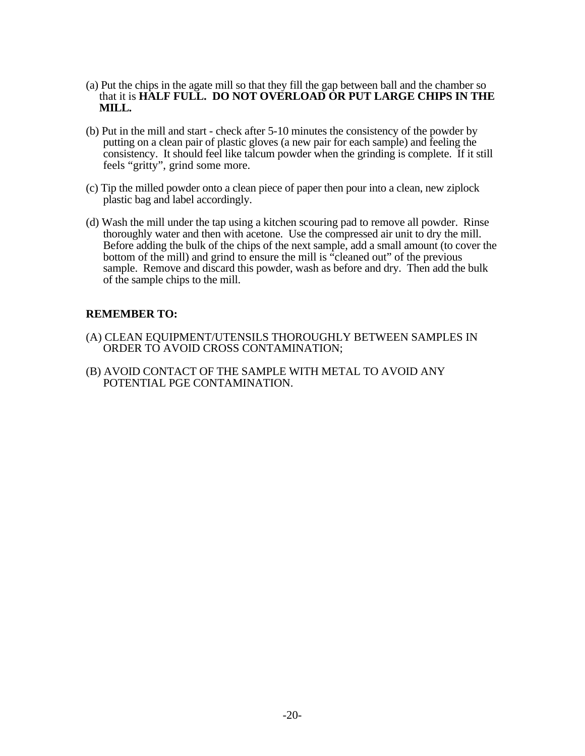- (a) Put the chips in the agate mill so that they fill the gap between ball and the chamber so that it is **HALF FULL. DO NOT OVERLOAD OR PUT LARGE CHIPS IN THE MILL.**
- (b) Put in the mill and start check after 5-10 minutes the consistency of the powder by putting on a clean pair of plastic gloves (a new pair for each sample) and feeling the consistency. It should feel like talcum powder when the grinding is complete. If it still feels "gritty", grind some more.
- (c) Tip the milled powder onto a clean piece of paper then pour into a clean, new ziplock plastic bag and label accordingly.
- (d) Wash the mill under the tap using a kitchen scouring pad to remove all powder. Rinse thoroughly water and then with acetone. Use the compressed air unit to dry the mill. Before adding the bulk of the chips of the next sample, add a small amount (to cover the bottom of the mill) and grind to ensure the mill is "cleaned out" of the previous sample. Remove and discard this powder, wash as before and dry. Then add the bulk of the sample chips to the mill.

### **REMEMBER TO:**

- (A) CLEAN EQUIPMENT/UTENSILS THOROUGHLY BETWEEN SAMPLES IN ORDER TO AVOID CROSS CONTAMINATION;
- (B) AVOID CONTACT OF THE SAMPLE WITH METAL TO AVOID ANY POTENTIAL PGE CONTAMINATION.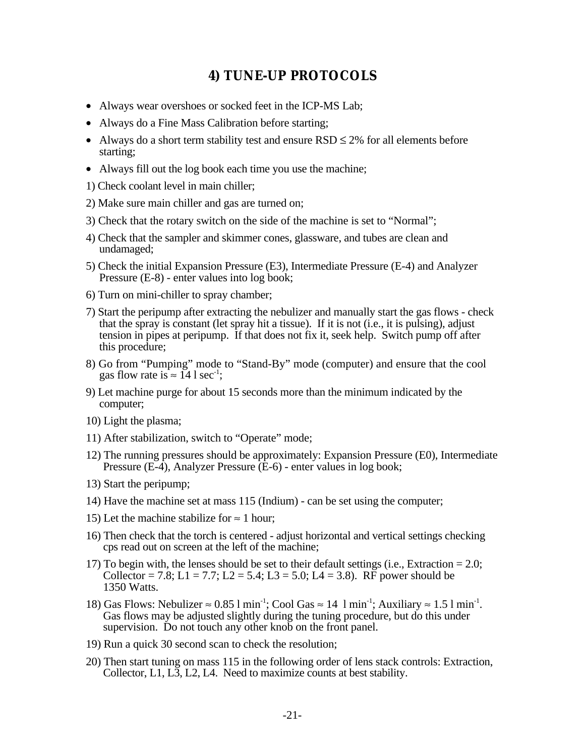# **4) TUNE-UP PROTOCOLS**

- Always wear overshoes or socked feet in the ICP-MS Lab;
- Always do a Fine Mass Calibration before starting;
- Always do a short term stability test and ensure  $RSD \leq 2\%$  for all elements before starting;
- Always fill out the log book each time you use the machine;
- 1) Check coolant level in main chiller;
- 2) Make sure main chiller and gas are turned on;
- 3) Check that the rotary switch on the side of the machine is set to "Normal";
- 4) Check that the sampler and skimmer cones, glassware, and tubes are clean and undamaged;
- 5) Check the initial Expansion Pressure (E3), Intermediate Pressure (E-4) and Analyzer Pressure (E-8) - enter values into log book;
- 6) Turn on mini-chiller to spray chamber;
- 7) Start the peripump after extracting the nebulizer and manually start the gas flows check that the spray is constant (let spray hit a tissue). If it is not (i.e., it is pulsing), adjust tension in pipes at peripump. If that does not fix it, seek help. Switch pump off after this procedure;
- 8) Go from "Pumping" mode to "Stand-By" mode (computer) and ensure that the cool gas flow rate is  $\approx 14$  l sec<sup>-1</sup>:
- 9) Let machine purge for about 15 seconds more than the minimum indicated by the computer;
- 10) Light the plasma;
- 11) After stabilization, switch to "Operate" mode;
- 12) The running pressures should be approximately: Expansion Pressure (E0), Intermediate Pressure (E-4), Analyzer Pressure (E-6) - enter values in log book;
- 13) Start the peripump;
- 14) Have the machine set at mass 115 (Indium) can be set using the computer;
- 15) Let the machine stabilize for  $\approx$  1 hour;
- 16) Then check that the torch is centered adjust horizontal and vertical settings checking cps read out on screen at the left of the machine;
- 17) To begin with, the lenses should be set to their default settings (i.e., Extraction  $= 2.0$ ; Collector = 7.8; L1 = 7.7; L2 = 5.4; L3 = 5.0; L4 = 3.8). RF power should be 1350 Watts.
- 18) Gas Flows: Nebulizer  $\approx 0.85$  l min<sup>-1</sup>; Cool Gas  $\approx 14$  l min<sup>-1</sup>; Auxiliary  $\approx 1.5$  l min<sup>-1</sup>. Gas flows may be adjusted slightly during the tuning procedure, but do this under supervision. Do not touch any other knob on the front panel.
- 19) Run a quick 30 second scan to check the resolution;
- 20) Then start tuning on mass 115 in the following order of lens stack controls: Extraction, Collector, L1, L3, L2, L4. Need to maximize counts at best stability.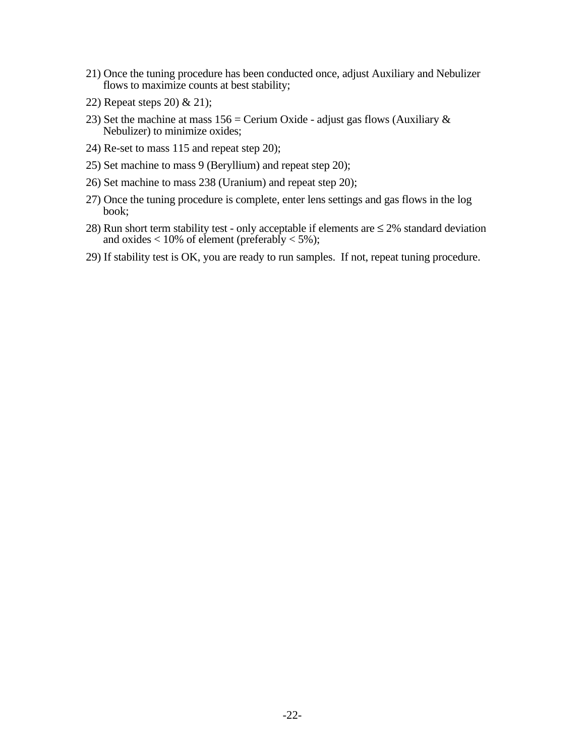- 21) Once the tuning procedure has been conducted once, adjust Auxiliary and Nebulizer flows to maximize counts at best stability;
- 22) Repeat steps 20) & 21);
- 23) Set the machine at mass  $156 =$  Cerium Oxide adjust gas flows (Auxiliary  $\&$ Nebulizer) to minimize oxides;
- 24) Re-set to mass 115 and repeat step 20);
- 25) Set machine to mass 9 (Beryllium) and repeat step 20);
- 26) Set machine to mass 238 (Uranium) and repeat step 20);
- 27) Once the tuning procedure is complete, enter lens settings and gas flows in the log book;
- 28) Run short term stability test only acceptable if elements are  $\leq$  2% standard deviation and oxides  $< 10\%$  of element (preferably  $< 5\%$ );
- 29) If stability test is OK, you are ready to run samples. If not, repeat tuning procedure.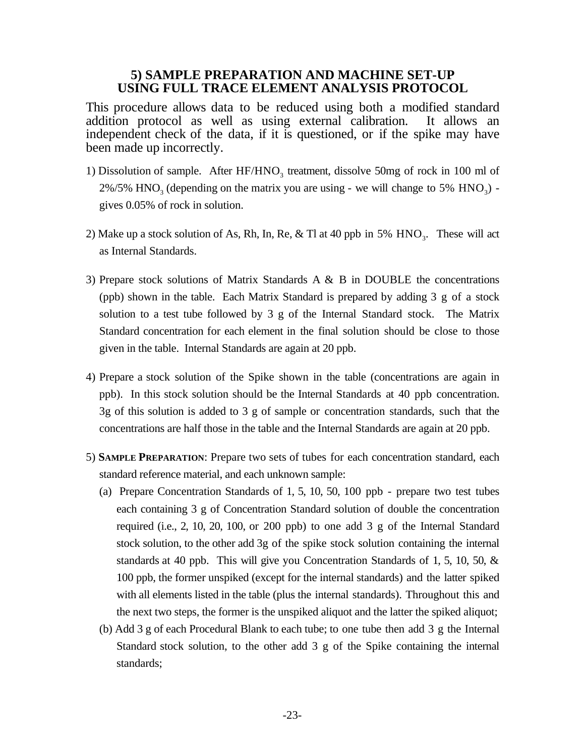### **5) SAMPLE PREPARATION AND MACHINE SET-UP USING FULL TRACE ELEMENT ANALYSIS PROTOCOL**

This procedure allows data to be reduced using both a modified standard addition protocol as well as using external calibration. It allows an independent check of the data, if it is questioned, or if the spike may have been made up incorrectly.

- 1) Dissolution of sample. After  $HF/HNO<sub>3</sub>$  treatment, dissolve 50mg of rock in 100 ml of  $2\%/5\%$  HNO<sub>3</sub> (depending on the matrix you are using - we will change to 5\% HNO<sub>3</sub>) gives 0.05% of rock in solution.
- 2) Make up a stock solution of As, Rh, In, Re, & Tl at 40 ppb in 5%  $HNO<sub>3</sub>$ . These will act as Internal Standards.
- 3) Prepare stock solutions of Matrix Standards A & B in DOUBLE the concentrations (ppb) shown in the table. Each Matrix Standard is prepared by adding 3 g of a stock solution to a test tube followed by 3 g of the Internal Standard stock. The Matrix Standard concentration for each element in the final solution should be close to those given in the table. Internal Standards are again at 20 ppb.
- 4) Prepare a stock solution of the Spike shown in the table (concentrations are again in ppb). In this stock solution should be the Internal Standards at 40 ppb concentration. 3g of this solution is added to 3 g of sample or concentration standards, such that the concentrations are half those in the table and the Internal Standards are again at 20 ppb.
- 5) **SAMPLE PREPARATION**: Prepare two sets of tubes for each concentration standard, each standard reference material, and each unknown sample:
	- (a) Prepare Concentration Standards of 1, 5, 10, 50, 100 ppb prepare two test tubes each containing 3 g of Concentration Standard solution of double the concentration required (i.e., 2, 10, 20, 100, or 200 ppb) to one add 3 g of the Internal Standard stock solution, to the other add 3g of the spike stock solution containing the internal standards at 40 ppb. This will give you Concentration Standards of 1, 5, 10, 50, & 100 ppb, the former unspiked (except for the internal standards) and the latter spiked with all elements listed in the table (plus the internal standards). Throughout this and the next two steps, the former is the unspiked aliquot and the latter the spiked aliquot;
	- (b) Add 3 g of each Procedural Blank to each tube; to one tube then add 3 g the Internal Standard stock solution, to the other add 3 g of the Spike containing the internal standards;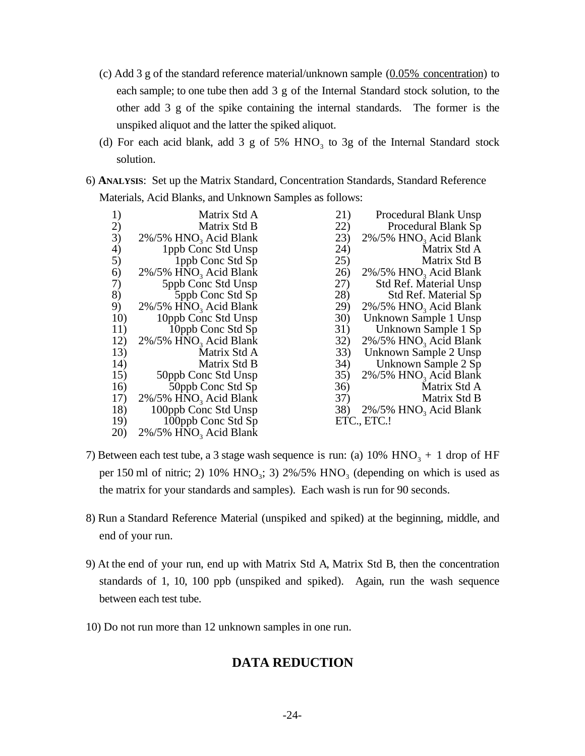- (c) Add 3 g of the standard reference material/unknown sample  $(0.05\%$  concentration) to each sample; to one tube then add 3 g of the Internal Standard stock solution, to the other add 3 g of the spike containing the internal standards. The former is the unspiked aliquot and the latter the spiked aliquot.
- (d) For each acid blank, add 3 g of 5%  $HNO<sub>3</sub>$  to 3g of the Internal Standard stock solution.
- 6) **ANALYSIS**: Set up the Matrix Standard, Concentration Standards, Standard Reference Materials, Acid Blanks, and Unknown Samples as follows:

| 1)  | Matrix Std A                          | 21)         | Procedural Blank Unsp                 |
|-----|---------------------------------------|-------------|---------------------------------------|
| 2)  | Matrix Std B                          | 22)         | Procedural Blank Sp                   |
| 3)  | $2\%/5\%$ HNO <sub>3</sub> Acid Blank | 23)         | $2\%/5\%$ HNO <sub>3</sub> Acid Blank |
| 4)  | 1ppb Conc Std Unsp                    | 24)         | Matrix Std A                          |
| 5)  | 1ppb Conc Std Sp                      | 25)         | Matrix Std B                          |
| 6)  | $2\%/5\%$ HNO <sub>3</sub> Acid Blank | 26)         | $2\%/5\%$ HNO <sub>3</sub> Acid Blank |
| 7)  | 5ppb Conc Std Unsp                    | 27)         | <b>Std Ref. Material Unsp</b>         |
| 8)  | 5ppb Conc Std Sp                      | 28)         | <b>Std Ref. Material Sp</b>           |
| 9)  | $2\%/5\%$ HNO <sub>3</sub> Acid Blank | 29)         | $2\%/5\%$ HNO <sub>3</sub> Acid Blank |
| 10) | 10ppb Conc Std Unsp                   | <b>30</b> ) | Unknown Sample 1 Unsp                 |
| 11) | 10ppb Conc Std Sp                     | 31)         | Unknown Sample 1 Sp                   |
| 12) | 2%/5% HNO <sub>3</sub> Acid Blank     | 32)         | $2\%/5\%$ HNO <sub>3</sub> Acid Blank |
| 13) | Matrix Std A                          | 33)         | Unknown Sample 2 Unsp                 |
| 14) | Matrix Std B                          |             | 34) Unknown Sample 2 Sp               |
| 15) | 50ppb Conc Std Unsp                   | 35)         | $2\%/5\%$ HNO <sub>3</sub> Acid Blank |
| 16) | 50ppb Conc Std Sp                     | 36)         | Matrix Std A                          |
| 17) | $2\%/5\%$ HNO <sub>3</sub> Acid Blank | 37)         | Matrix Std B                          |
| 18) | 100ppb Conc Std Unsp                  | 38)         | $2\%/5\%$ HNO <sub>3</sub> Acid Blank |
| 19) | 100ppb Conc Std Sp                    |             | ETC., ETC.!                           |
| 20) | $2\%/5\%$ HNO <sub>3</sub> Acid Blank |             |                                       |

- 7) Between each test tube, a 3 stage wash sequence is run: (a)  $10\%$  HNO<sub>3</sub> + 1 drop of HF per 150 ml of nitric; 2) 10%  $HNO<sub>3</sub>$ ; 3) 2%/5%  $HNO<sub>3</sub>$  (depending on which is used as the matrix for your standards and samples). Each wash is run for 90 seconds.
- 8) Run a Standard Reference Material (unspiked and spiked) at the beginning, middle, and end of your run.
- 9) At the end of your run, end up with Matrix Std A, Matrix Std B, then the concentration standards of 1, 10, 100 ppb (unspiked and spiked). Again, run the wash sequence between each test tube.
- 10) Do not run more than 12 unknown samples in one run.

# **DATA REDUCTION**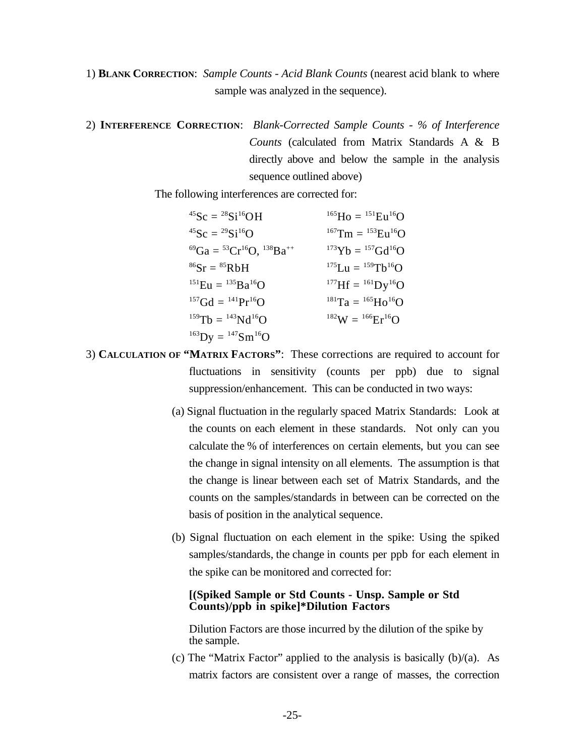1) **BLANK CORRECTION**: *Sample Counts - Acid Blank Counts* (nearest acid blank to where sample was analyzed in the sequence).

2) **INTERFERENCE CORRECTION**: *Blank-Corrected Sample Counts - % of Interference Counts* (calculated from Matrix Standards A & B directly above and below the sample in the analysis sequence outlined above)

The following interferences are corrected for:

| $^{45}Sc = ^{28}Si^{16}OH$                          | $^{165}$ Ho = $^{151}$ Eu <sup>16</sup> O            |
|-----------------------------------------------------|------------------------------------------------------|
| <sup>45</sup> Sc = <sup>29</sup> Si <sup>16</sup> O | $^{167}$ Tm = $^{153}$ Eu <sup>16</sup> O            |
| ${}^{69}Ga = {}^{53}Cr {}^{16}O, {}^{138}Ba^{++}$   | ${}^{173}\text{Yb} = {}^{157}\text{Gd}^{16}\text{O}$ |
| ${}^{86}Sr = {}^{85}RbH$                            | ${}^{175}Lu = {}^{159}Tb^{16}O$                      |
| $^{151}Eu = ^{135}Ba^{16}O$                         | $^{177}$ Hf = $^{161}$ Dy <sup>16</sup> O            |
| ${}^{157}Gd = {}^{141}Pr {}^{16}O$                  | $^{181}$ Ta = $^{165}$ Ho <sup>16</sup> O            |
| $^{159}Tb = ^{143}Nd^{16}O$                         | $^{182}W = {^{166}Er^{16}O}$                         |
| $^{163}$ Dy = $^{147}$ Sm <sup>16</sup> O           |                                                      |

- 3) **CALCULATION OF "MATRIX FACTORS"**: These corrections are required to account for fluctuations in sensitivity (counts per ppb) due to signal suppression/enhancement. This can be conducted in two ways:
	- (a) Signal fluctuation in the regularly spaced Matrix Standards: Look at the counts on each element in these standards. Not only can you calculate the % of interferences on certain elements, but you can see the change in signal intensity on all elements. The assumption is that the change is linear between each set of Matrix Standards, and the counts on the samples/standards in between can be corrected on the basis of position in the analytical sequence.
	- (b) Signal fluctuation on each element in the spike: Using the spiked samples/standards, the change in counts per ppb for each element in the spike can be monitored and corrected for:

### **[(Spiked Sample or Std Counts - Unsp. Sample or Std Counts)/ppb in spike]\*Dilution Factors**

Dilution Factors are those incurred by the dilution of the spike by the sample.

(c) The "Matrix Factor" applied to the analysis is basically (b)/(a). As matrix factors are consistent over a range of masses, the correction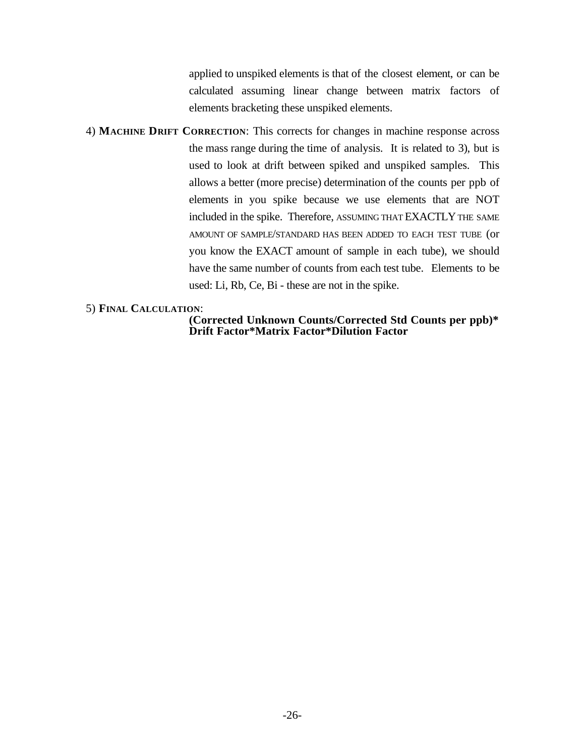applied to unspiked elements is that of the closest element, or can be calculated assuming linear change between matrix factors of elements bracketing these unspiked elements.

4) **MACHINE DRIFT CORRECTION**: This corrects for changes in machine response across the mass range during the time of analysis. It is related to 3), but is used to look at drift between spiked and unspiked samples. This allows a better (more precise) determination of the counts per ppb of elements in you spike because we use elements that are NOT included in the spike. Therefore, ASSUMING THAT EXACTLY THE SAME AMOUNT OF SAMPLE/STANDARD HAS BEEN ADDED TO EACH TEST TUBE (or you know the EXACT amount of sample in each tube), we should have the same number of counts from each test tube. Elements to be used: Li, Rb, Ce, Bi - these are not in the spike.

### 5) **FINAL CALCULATION**:

**(Corrected Unknown Counts/Corrected Std Counts per ppb)\* Drift Factor\*Matrix Factor\*Dilution Factor**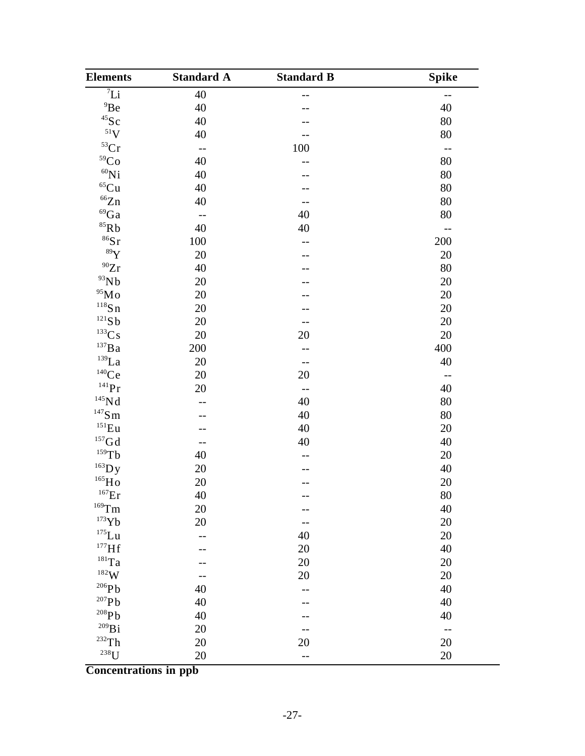| <b>Elements</b>                | <b>Standard A</b>        | <b>Standard B</b> | <b>Spike</b>             |
|--------------------------------|--------------------------|-------------------|--------------------------|
| $\overline{I}$                 | 40                       |                   | --                       |
| $^{9}$ Be                      | 40                       |                   | 40                       |
| $^{45}$ Sc                     | 40                       |                   | 80                       |
| $51$ V                         | 40                       | --                | 80                       |
| ${}^{53}Cr$                    | $ -$                     | 100               | $-$                      |
| ${}^{59}Co$                    | 40                       | --                | 80                       |
| $^{60}\rm{Ni}$                 | 40                       |                   | 80                       |
| $\rm ^{65}Cu$                  | 40                       |                   | 80                       |
| $\mathrm{^{66}Zn}$             | 40                       | $-$               | 80                       |
| ${}^{69}Ga$                    | $\overline{\phantom{a}}$ | 40                | 80                       |
| $^{85}\mathrm{Rb}$             | 40                       | 40                | $-$                      |
| $86$ Sr                        | 100                      |                   | 200                      |
| 89Y                            | 20                       |                   | 20                       |
| $^{90}Zr$                      | 40                       |                   | 80                       |
| 93Nb                           | 20                       |                   | 20                       |
| $^{95}\rm{Mo}$                 | 20                       |                   | 20                       |
| $118$ Sn                       | 20                       |                   | 20                       |
| 121Sb                          | 20                       | $-$               | 20                       |
| ${}^{133}\mathrm{Cs}$          | 20                       | 20                | 20                       |
| $\rm ^{137}Ba$                 | 200                      | $\qquad \qquad -$ | 400                      |
| $^{139}\mbox{La}$              | 20                       | $-$               | 40                       |
| $\rm ^{140}Ce$                 | 20                       | $20\,$            | $\overline{\phantom{a}}$ |
| $141$ Pr                       | 20                       | $ -$              | 40                       |
| ${}^{145}\mathrm{Nd}$          | --                       | 40                | 80                       |
| $^{147}\mathrm{S}\,\mathrm{m}$ |                          | 40                | 80                       |
| $^{151}\mathrm{Eu}$            |                          | 40                | 20                       |
| $\rm ^{157}Gd$                 | $-$                      | 40                | 40                       |
| $159$ Tb                       | 40                       | $-$               | 20                       |
| $^{163}$ Dy                    | 20                       | --                | 40                       |
| $\rm ^{165}Ho$                 | 20                       |                   | 20                       |
| $^{167}Er$                     | 40                       |                   | $80\,$                   |
| $^{169}\mathrm{Tm}$            | 20                       | --                | 40                       |
| $^{173}\mathrm{Yb}$            | 20                       |                   | 20                       |
| $^{175}\mathrm{Lu}$            | --                       | 40                | 20                       |
| $^{177}Hf$                     |                          | $20\,$            | 40                       |
| $^{181}\mathrm{Ta}$            |                          | 20                | 20                       |
| $^{182}\mathrm{W}$             | $-$                      | 20                | 20                       |
| $^{206}\mathrm{Pb}$            | 40                       | $\qquad \qquad -$ | 40                       |
| $^{207}\mathrm{Pb}$            | 40                       |                   | 40                       |
| $^{208}\mathrm{Pb}$            | 40                       |                   | 40                       |
| $^{209}\mathrm{Bi}$            | 20                       |                   | $-$                      |
| $\mathrm{^{232}Th}$            | 20                       | 20                | 20                       |
| $^{238}$ U                     | 20                       | $\overline{a}$    | 20                       |

**Concentrations in ppb**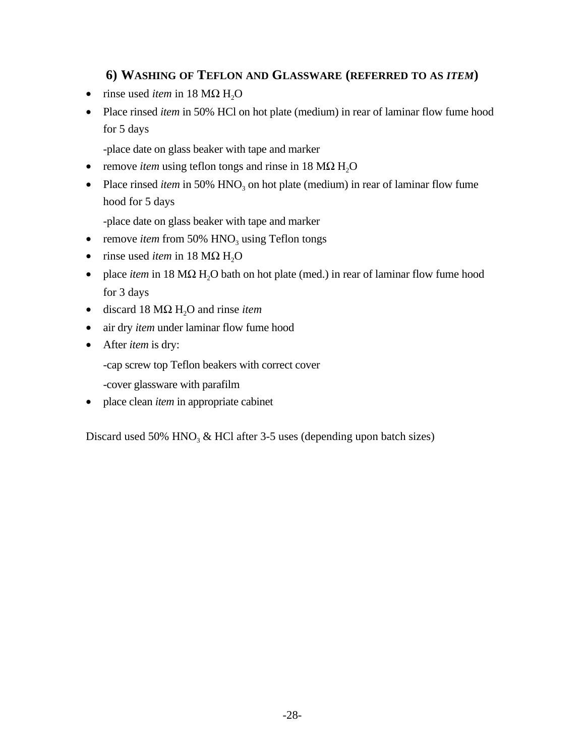# **6) WASHING OF TEFLON AND GLASSWARE (REFERRED TO AS** *ITEM***)**

- rinse used *item* in  $18 \text{ M}\Omega \text{ H}_2\Omega$
- Place rinsed *item* in 50% HCl on hot plate (medium) in rear of laminar flow fume hood for 5 days

-place date on glass beaker with tape and marker

- remove *item* using teflon tongs and rinse in 18 MΩ H<sub>2</sub>O
- Place rinsed *item* in 50% HNO<sub>3</sub> on hot plate (medium) in rear of laminar flow fume hood for 5 days

-place date on glass beaker with tape and marker

- remove *item* from 50%  $HNO<sub>3</sub>$  using Teflon tongs
- rinse used *item* in 18 M $\Omega$  H<sub>2</sub>O
- place *item* in 18 MΩ H<sub>2</sub>O bath on hot plate (med.) in rear of laminar flow fume hood for 3 days
- discard 18 MΩ H<sub>2</sub>O and rinse *item*
- air dry *item* under laminar flow fume hood
- After *item* is dry:

-cap screw top Teflon beakers with correct cover

-cover glassware with parafilm

• place clean *item* in appropriate cabinet

Discard used 50% HNO<sub>3</sub> & HCl after 3-5 uses (depending upon batch sizes)